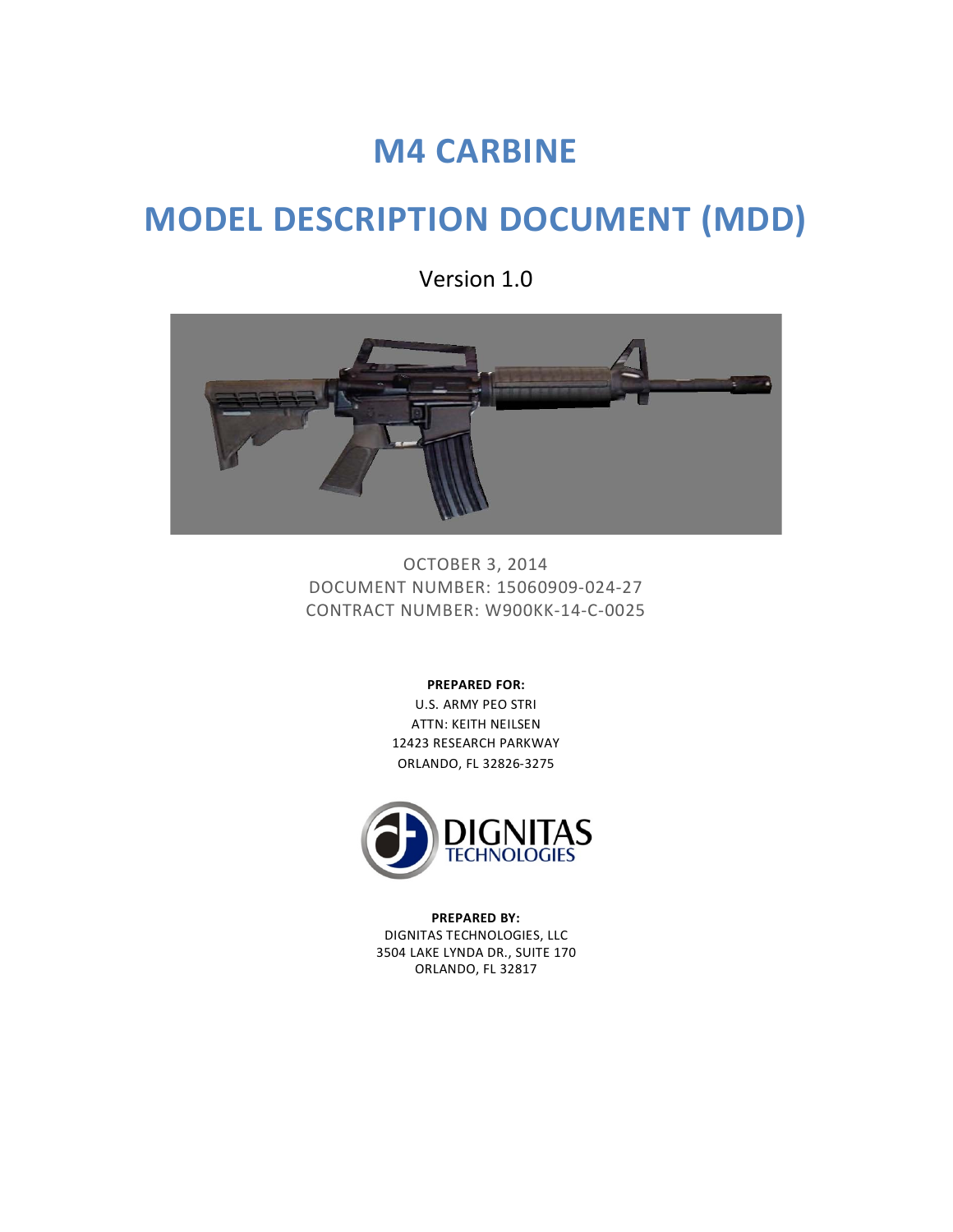# **M4 CARBINE**

# **MODEL DESCRIPTION DOCUMENT (MDD)**

Version 1.0



OCTOBER 3, 2014 DOCUMENT NUMBER: 15060909-024-27 CONTRACT NUMBER: W900KK-14-C-0025

**PREPARED FOR:**

U.S. ARMY PEO STRI ATTN: KEITH NEILSEN 12423 RESEARCH PARKWAY ORLANDO, FL 32826-3275



**PREPARED BY:** DIGNITAS TECHNOLOGIES, LLC 3504 LAKE LYNDA DR., SUITE 170 ORLANDO, FL 32817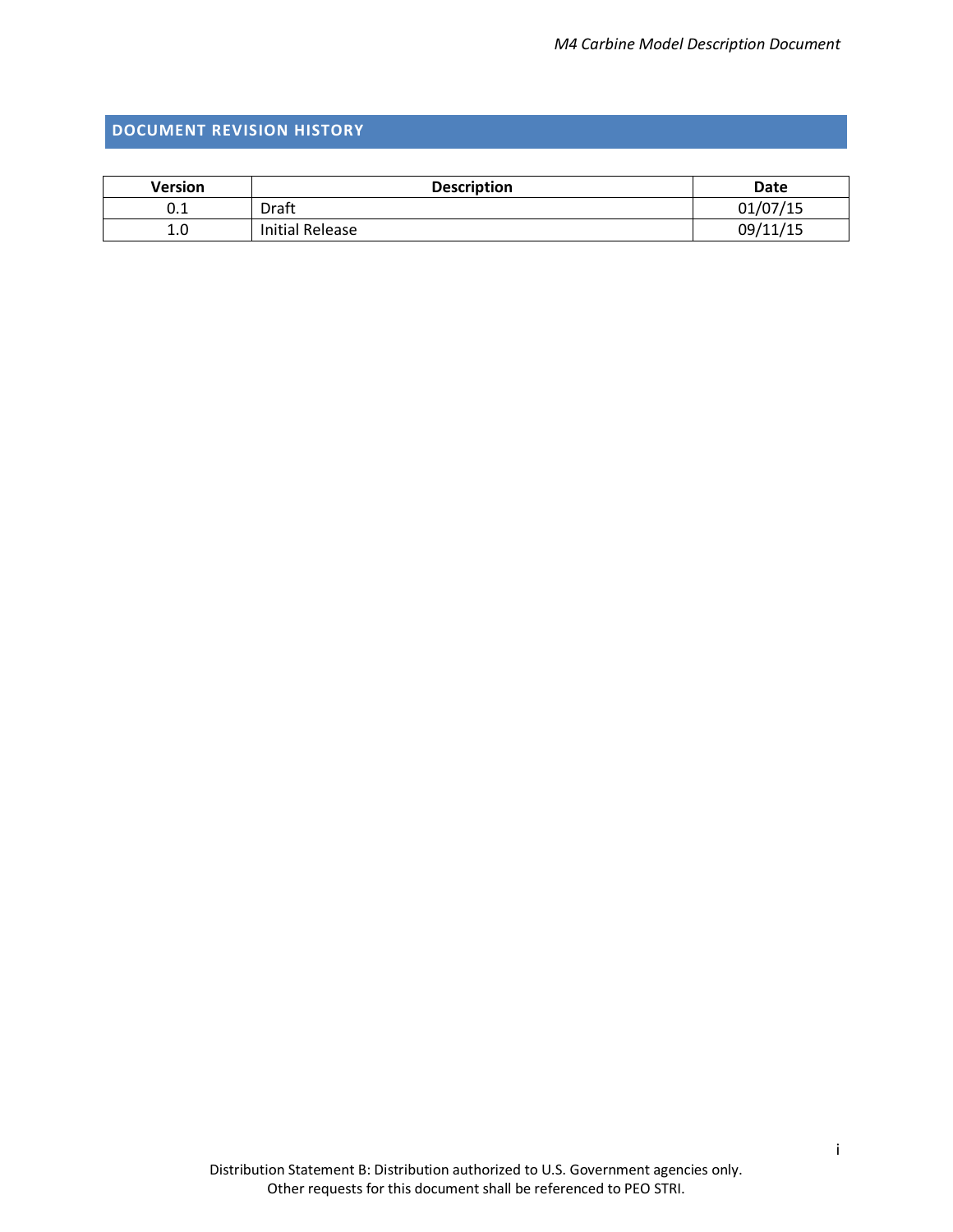## <span id="page-1-0"></span>**DOCUMENT REVISION HISTORY**

| <b>Version</b> | <b>Description</b> | Date     |
|----------------|--------------------|----------|
| U.L            | Draft              | 01/07/15 |
| 1.0            | Initial Release    | 09/11/15 |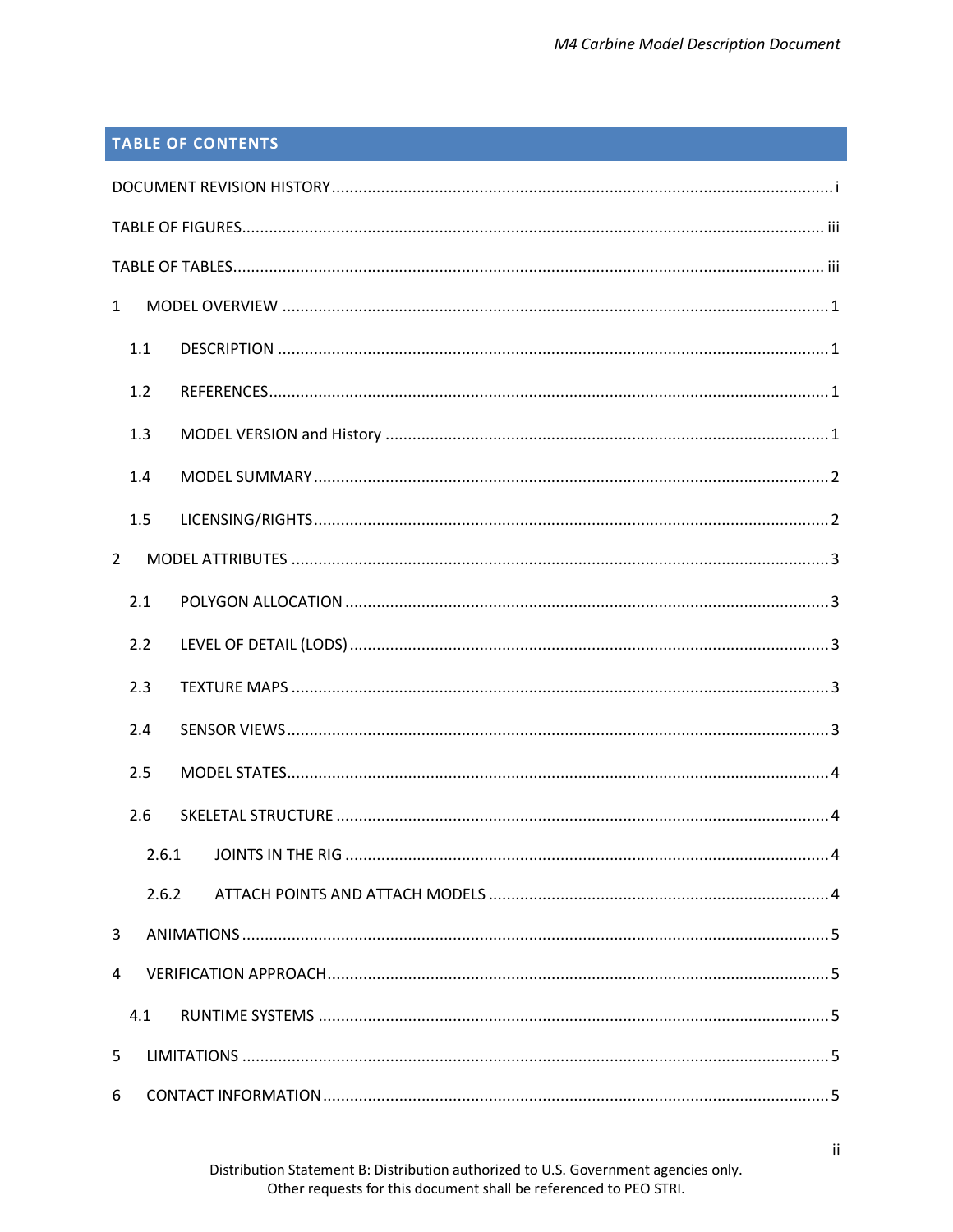# **TABLE OF CONTENTS**

| $\mathbf{1}$   |       |  |  |
|----------------|-------|--|--|
| 1.1            |       |  |  |
| 1.2            |       |  |  |
| 1.3            |       |  |  |
| 1.4            |       |  |  |
| 1.5            |       |  |  |
| $\overline{2}$ |       |  |  |
| 2.1            |       |  |  |
| 2.2            |       |  |  |
| 2.3            |       |  |  |
| 2.4            |       |  |  |
| 2.5            |       |  |  |
| 2.6            |       |  |  |
| 2.6.1          |       |  |  |
|                | 2.6.2 |  |  |
| 3              |       |  |  |
| 4              |       |  |  |
| 4.1            |       |  |  |
| 5              |       |  |  |
| 6              |       |  |  |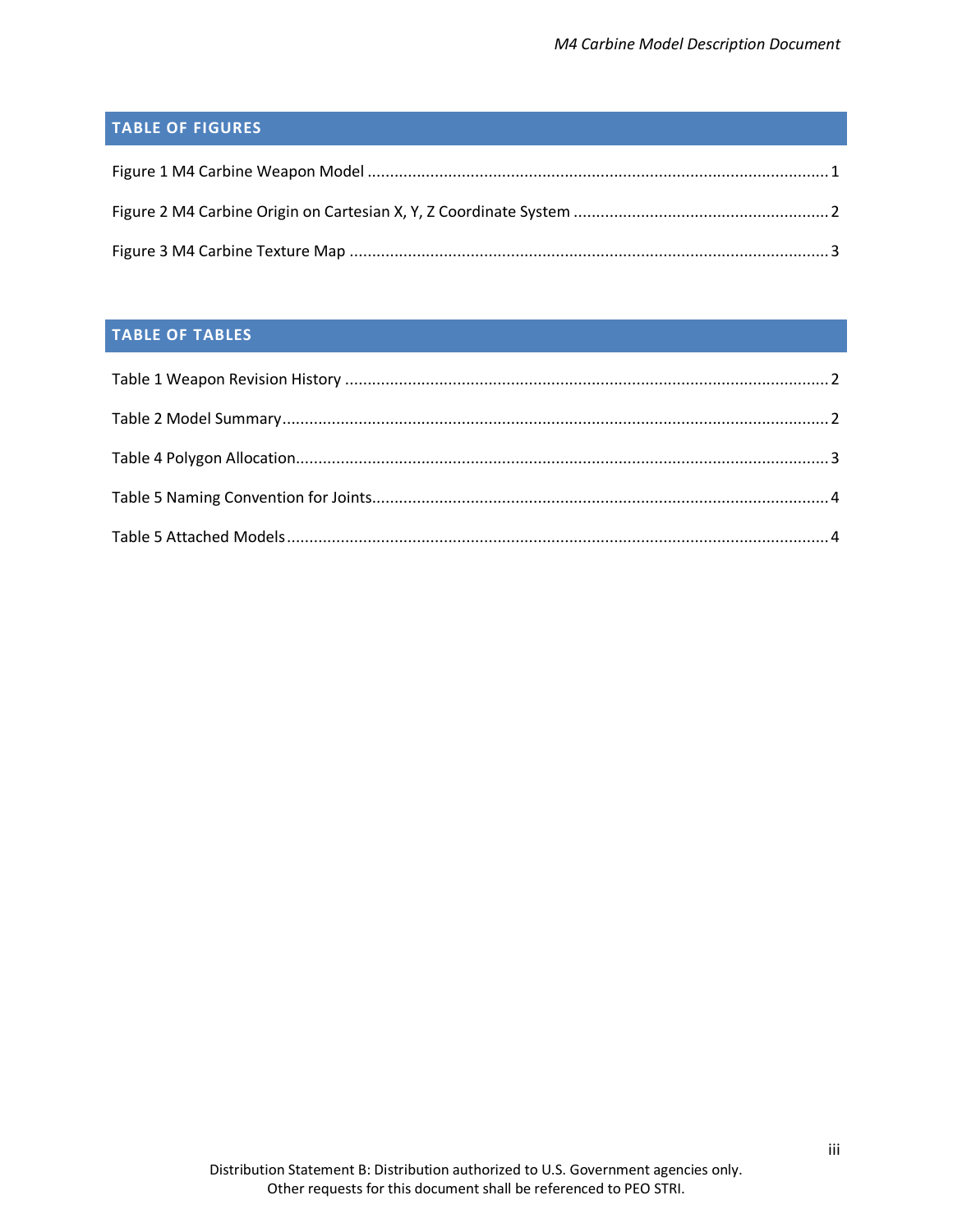# <span id="page-3-0"></span>**TABLE OF FIGURES**

# <span id="page-3-1"></span>**TABLE OF TABLES**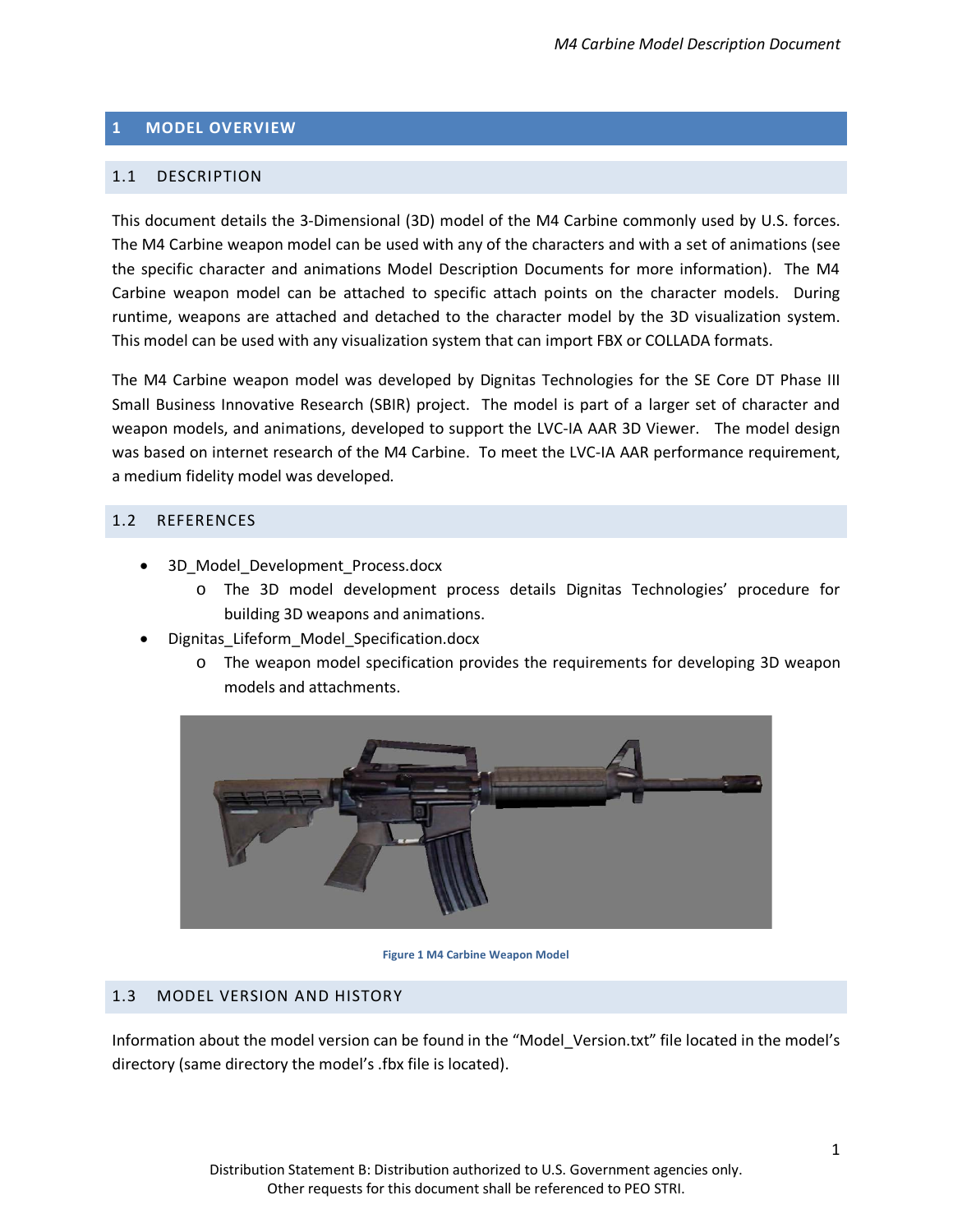### <span id="page-4-0"></span>**1 MODEL OVERVIEW**

### <span id="page-4-1"></span>1.1 DESCRIPTION

This document details the 3-Dimensional (3D) model of the M4 Carbine commonly used by U.S. forces. The M4 Carbine weapon model can be used with any of the characters and with a set of animations (see the specific character and animations Model Description Documents for more information). The M4 Carbine weapon model can be attached to specific attach points on the character models. During runtime, weapons are attached and detached to the character model by the 3D visualization system. This model can be used with any visualization system that can import FBX or COLLADA formats.

The M4 Carbine weapon model was developed by Dignitas Technologies for the SE Core DT Phase III Small Business Innovative Research (SBIR) project. The model is part of a larger set of character and weapon models, and animations, developed to support the LVC-IA AAR 3D Viewer. The model design was based on internet research of the M4 Carbine. To meet the LVC-IA AAR performance requirement, a medium fidelity model was developed.

### <span id="page-4-2"></span>1.2 REFERENCES

- 3D Model Development Process.docx
	- o The 3D model development process details Dignitas Technologies' procedure for building 3D weapons and animations.
- Dignitas\_Lifeform\_Model\_Specification.docx
	- o The weapon model specification provides the requirements for developing 3D weapon models and attachments.



**Figure 1 M4 Carbine Weapon Model**

### <span id="page-4-4"></span><span id="page-4-3"></span>1.3 MODEL VERSION AND HISTORY

Information about the model version can be found in the "Model\_Version.txt" file located in the model's directory (same directory the model's .fbx file is located).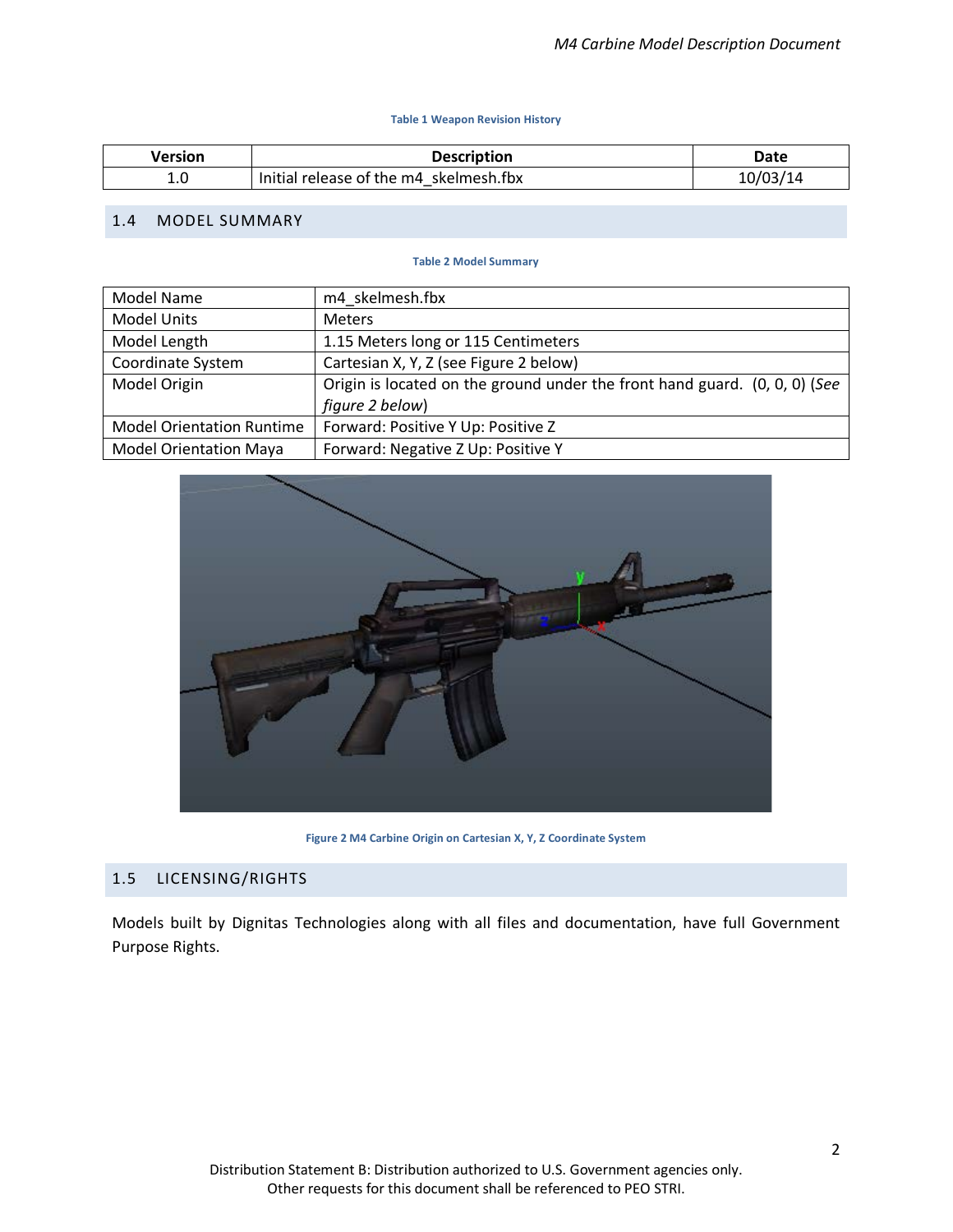#### **Table 1 Weapon Revision History**

<span id="page-5-3"></span>

| Version | <b>Description</b>                     | Date     |
|---------|----------------------------------------|----------|
| ⊥.៶     | Initial release of the m4 skelmesh.fbx | 10/03/14 |

#### <span id="page-5-4"></span><span id="page-5-0"></span>1.4 MODEL SUMMARY

#### **Table 2 Model Summary**

| Model Name                       | m4 skelmesh.fbx                                                            |
|----------------------------------|----------------------------------------------------------------------------|
| <b>Model Units</b>               | <b>Meters</b>                                                              |
| Model Length                     | 1.15 Meters long or 115 Centimeters                                        |
| Coordinate System                | Cartesian X, Y, Z (see Figure 2 below)                                     |
| Model Origin                     | Origin is located on the ground under the front hand guard. (0, 0, 0) (See |
|                                  | figure 2 below)                                                            |
| <b>Model Orientation Runtime</b> | Forward: Positive Y Up: Positive Z                                         |
| <b>Model Orientation Maya</b>    | Forward: Negative Z Up: Positive Y                                         |



**Figure 2 M4 Carbine Origin on Cartesian X, Y, Z Coordinate System**

#### <span id="page-5-2"></span><span id="page-5-1"></span>1.5 LICENSING/RIGHTS

Models built by Dignitas Technologies along with all files and documentation, have full Government Purpose Rights.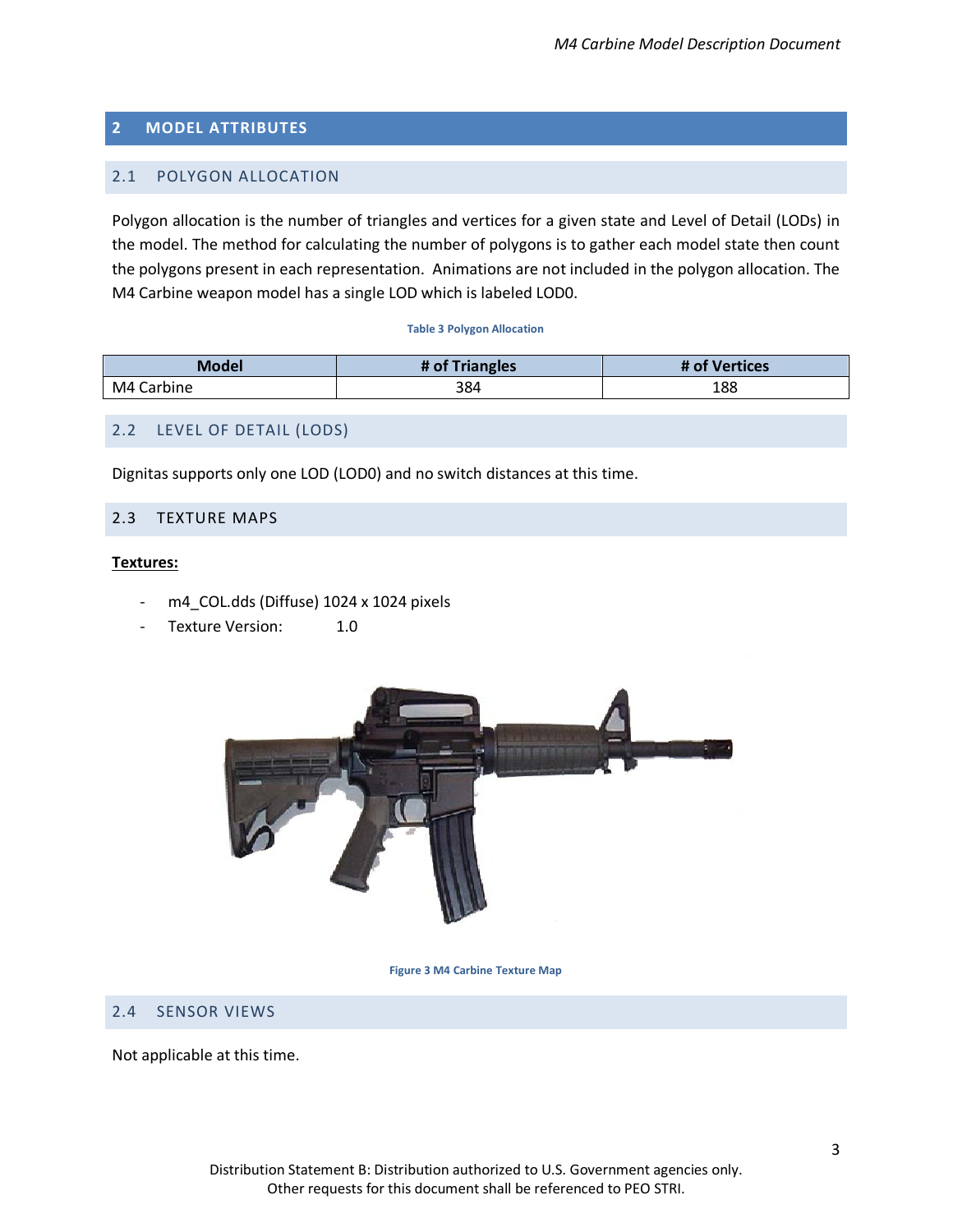## <span id="page-6-0"></span>**2 MODEL ATTRIBUTES**

## <span id="page-6-1"></span>2.1 POLYGON ALLOCATION

Polygon allocation is the number of triangles and vertices for a given state and Level of Detail (LODs) in the model. The method for calculating the number of polygons is to gather each model state then count the polygons present in each representation. Animations are not included in the polygon allocation. The M4 Carbine weapon model has a single LOD which is labeled LOD0.

#### **Table 3 Polygon Allocation**

<span id="page-6-6"></span>

| <b>Model</b> | # of Triangles | # of Vertices |
|--------------|----------------|---------------|
| M4 Carbine   | 384            | 188           |

### <span id="page-6-2"></span>2.2 LEVEL OF DETAIL (LODS)

Dignitas supports only one LOD (LOD0) and no switch distances at this time.

### <span id="page-6-3"></span>2.3 TEXTURE MAPS

#### **Textures:**

- m4\_COL.dds (Diffuse) 1024 x 1024 pixels
- Texture Version: 1.0



**Figure 3 M4 Carbine Texture Map**

### <span id="page-6-5"></span><span id="page-6-4"></span>2.4 SENSOR VIEWS

Not applicable at this time.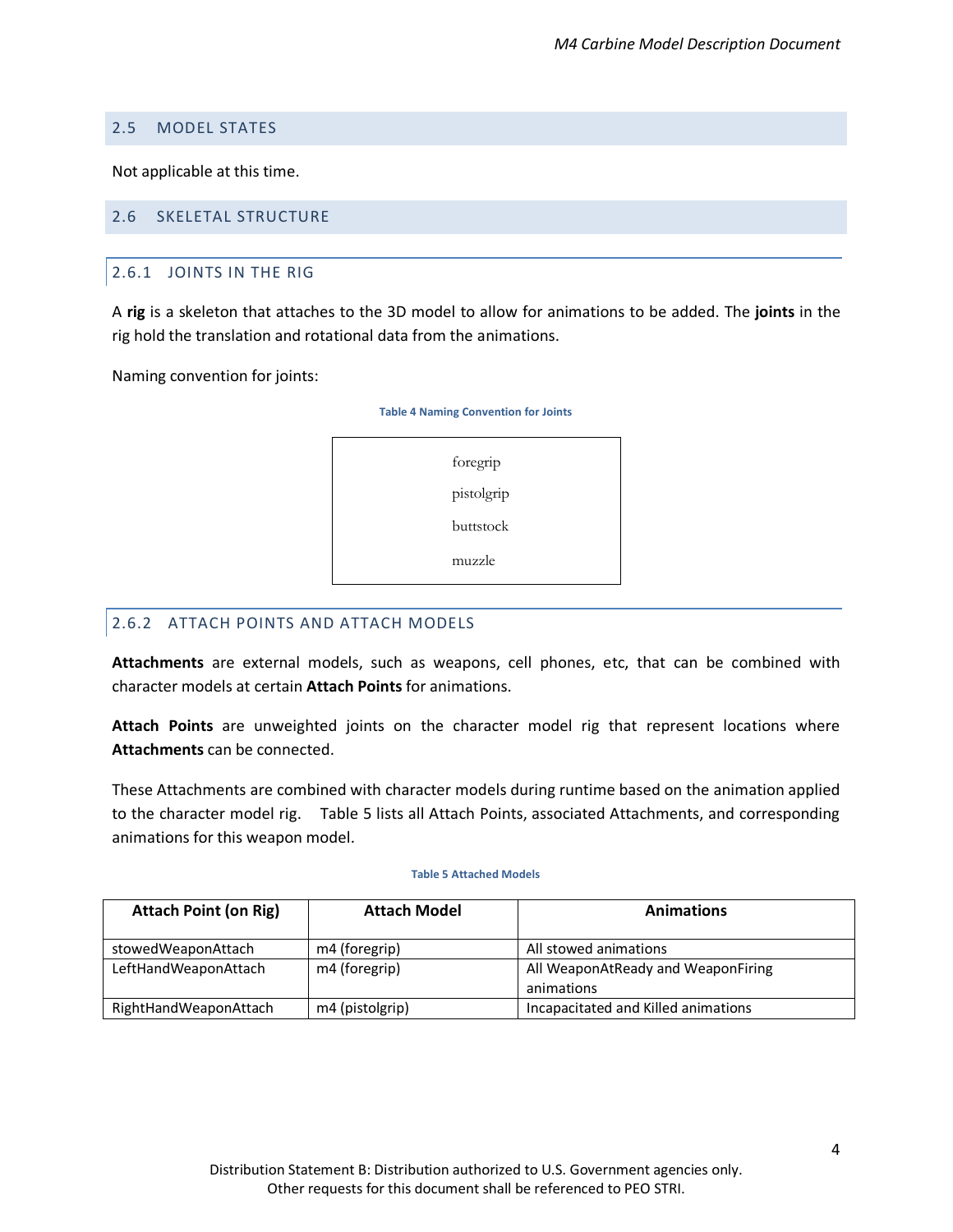#### <span id="page-7-0"></span>2.5 MODEL STATES

Not applicable at this time.

### <span id="page-7-2"></span><span id="page-7-1"></span>2.6 SKELETAL STRUCTURE

#### 2.6.1 JOINTS IN THE RIG

A **rig** is a skeleton that attaches to the 3D model to allow for animations to be added. The **joints** in the rig hold the translation and rotational data from the animations.

<span id="page-7-5"></span>Naming convention for joints:



### <span id="page-7-3"></span>2.6.2 ATTACH POINTS AND ATTACH MODELS

<span id="page-7-6"></span>**Attachments** are external models, such as weapons, cell phones, etc, that can be combined with character models at certain **Attach Points** for animations.

**Attach Points** are unweighted joints on the character model rig that represent locations where **Attachments** can be connected.

These Attachments are combined with character models during runtime based on the animation applied to the character model rig. [Table 5](#page-7-6) lists all Attach Points, associated Attachments, and corresponding animations for this weapon model.

#### **Table 5 Attached Models**

<span id="page-7-4"></span>

| <b>Attach Point (on Rig)</b> | <b>Attach Model</b> | <b>Animations</b>                                |
|------------------------------|---------------------|--------------------------------------------------|
| stowedWeaponAttach           | m4 (foregrip)       | All stowed animations                            |
| LeftHandWeaponAttach         | m4 (foregrip)       | All WeaponAtReady and WeaponFiring<br>animations |
| RightHandWeaponAttach        | m4 (pistolgrip)     | Incapacitated and Killed animations              |